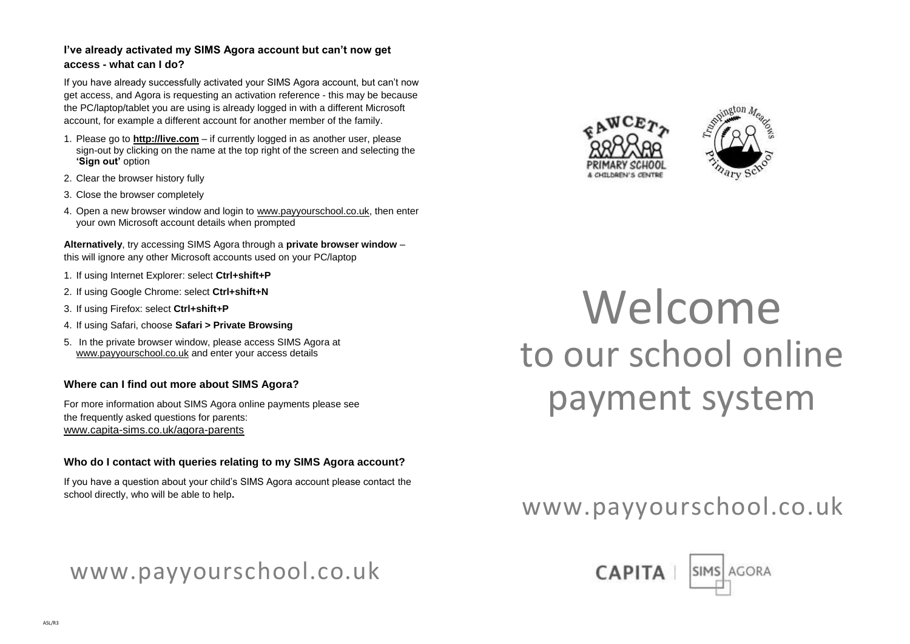### **I've already activated my SIMS Agora account but can't now get access - what can I do?**

If you have already successfully activated your SIMS Agora account, but can't now get access, and Agora is requesting an activation reference - this may be because the PC/laptop/tablet you are using is already logged in with a different Microsoft account, for example a different account for another member of the family.

- 1. Please go to **[http://live.com](http://live.com/)** if currently logged in as another user, please sign-out by clicking on the name at the top right of the screen and selecting the **'Sign out'** option
- 2. Clear the browser history fully
- 3. Close the browser completely
- 4. Open a new browser window and login t[o www.payyourschool.co.uk,](http://www.payyourschool.co.uk/) then enter your own Microsoft account details when prompted

**Alternatively**, try accessing SIMS Agora through a **private browser window** – this will ignore any other Microsoft accounts used on your PC/laptop

- 1. If using Internet Explorer: select **Ctrl+shift+P**
- 2. If using Google Chrome: select **Ctrl+shift+N**
- 3. If using Firefox: select **Ctrl+shift+P**
- 4. If using Safari, choose **Safari > Private Browsing**
- 5. In the private browser window, please access SIMS Agora at [www.payyourschool.co.uk](http://www.payyourschool.co.uk/) and enter your access details

#### **Where can I find out more about SIMS Agora?**

For more information about SIMS Agora online payments please see the frequently asked questions for parents: [www.capita-sims.co.uk/agora-parents](http://www.capita-sims.co.uk/agora-parents)

#### **Who do I contact with queries relating to my SIMS Agora account?**

If you have a question about your child's SIMS Agora account please contact the school directly, who will be able to help**.** 

# www.payyourschool.co.uk





# Welcome to our school online payment system

# www.payyourschool.co.uk